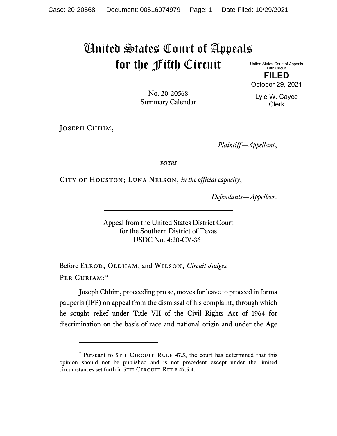# United States Court of Appeals for the Fifth Circuit

United States Court of Appeals Fifth Circuit **FILED** October 29, 2021

No. 20-20568 Summary Calendar

Joseph Chhim,

*Plaintiff—Appellant*,

*versus*

CITY OF HOUSTON; LUNA NELSON, in the official capacity,

*Defendants—Appellees*.

Appeal from the United States District Court for the Southern District of Texas USDC No. 4:20-CV-361

Before ELROD, OLDHAM, and WILSON, *Circuit Judges*. Per Curiam:[\\*](#page-0-0)

Joseph Chhim, proceeding pro se, moves for leave to proceed in forma pauperis (IFP) on appeal from the dismissal of his complaint, through which he sought relief under Title VII of the Civil Rights Act of 1964 for discrimination on the basis of race and national origin and under the Age

Lyle W. Cayce Clerk

<span id="page-0-0"></span><sup>\*</sup> Pursuant to 5TH CIRCUIT RULE 47.5, the court has determined that this opinion should not be published and is not precedent except under the limited circumstances set forth in 5TH CIRCUIT RULE 47.5.4.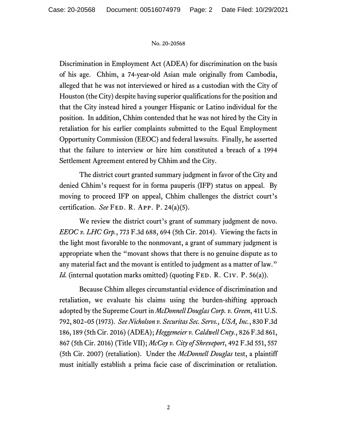Discrimination in Employment Act (ADEA) for discrimination on the basis of his age. Chhim, a 74-year-old Asian male originally from Cambodia, alleged that he was not interviewed or hired as a custodian with the City of Houston (the City) despite having superior qualifications for the position and that the City instead hired a younger Hispanic or Latino individual for the position. In addition, Chhim contended that he was not hired by the City in retaliation for his earlier complaints submitted to the Equal Employment Opportunity Commission (EEOC) and federal lawsuits. Finally, he asserted that the failure to interview or hire him constituted a breach of a 1994 Settlement Agreement entered by Chhim and the City.

The district court granted summary judgment in favor of the City and denied Chhim's request for in forma pauperis (IFP) status on appeal. By moving to proceed IFP on appeal, Chhim challenges the district court's certification. *See* Fed. R. App. P. 24(a)(5).

We review the district court's grant of summary judgment de novo. *EEOC v. LHC Grp.*, 773 F.3d 688, 694 (5th Cir. 2014). Viewing the facts in the light most favorable to the nonmovant, a grant of summary judgment is appropriate when the "movant shows that there is no genuine dispute as to any material fact and the movant is entitled to judgment as a matter of law." *Id.* (internal quotation marks omitted) (quoting FED. R. CIV. P. 56(a)).

Because Chhim alleges circumstantial evidence of discrimination and retaliation, we evaluate his claims using the burden-shifting approach adopted by the Supreme Court in *McDonnell Douglas Corp. v. Green*, 411 U.S. 792, 802–05 (1973). *See Nicholson v. Securitas Sec. Servs., USA, Inc.*, 830 F.3d 186, 189 (5th Cir. 2016) (ADEA); *Heggemeier v. Caldwell Cnty.*, 826 F.3d 861, 867 (5th Cir. 2016) (Title VII); *McCoy v. City of Shreveport*, 492 F.3d 551, 557 (5th Cir. 2007) (retaliation). Under the *McDonnell Douglas* test, a plaintiff must initially establish a prima facie case of discrimination or retaliation.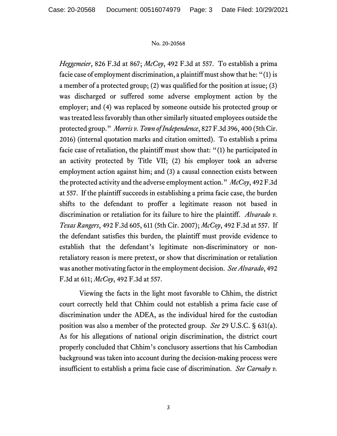*Heggemeier*, 826 F.3d at 867; *McCoy*, 492 F.3d at 557. To establish a prima facie case of employment discrimination, a plaintiff must show that he: "(1) is a member of a protected group; (2) was qualified for the position at issue; (3) was discharged or suffered some adverse employment action by the employer; and (4) was replaced by someone outside his protected group or was treated less favorably than other similarly situated employees outside the protected group." *Morris v. Town of Independence*, 827 F.3d 396, 400 (5th Cir. 2016) (internal quotation marks and citation omitted). To establish a prima facie case of retaliation, the plaintiff must show that: "(1) he participated in an activity protected by Title VII; (2) his employer took an adverse employment action against him; and (3) a causal connection exists between the protected activity and the adverse employment action." *McCoy*, 492 F.3d at 557. If the plaintiff succeeds in establishing a prima facie case, the burden shifts to the defendant to proffer a legitimate reason not based in discrimination or retaliation for its failure to hire the plaintiff. *Alvarado v. Texas Rangers*, 492 F.3d 605, 611 (5th Cir. 2007); *McCoy*, 492 F.3d at 557. If the defendant satisfies this burden, the plaintiff must provide evidence to establish that the defendant's legitimate non-discriminatory or nonretaliatory reason is mere pretext, or show that discrimination or retaliation was another motivating factor in the employment decision. *See Alvarado*, 492 F.3d at 611; *McCoy*, 492 F.3d at 557.

Viewing the facts in the light most favorable to Chhim, the district court correctly held that Chhim could not establish a prima facie case of discrimination under the ADEA, as the individual hired for the custodian position was also a member of the protected group. *See* 29 U.S.C. § 631(a). As for his allegations of national origin discrimination, the district court properly concluded that Chhim's conclusory assertions that his Cambodian background was taken into account during the decision-making process were insufficient to establish a prima facie case of discrimination. *See Carnaby v.*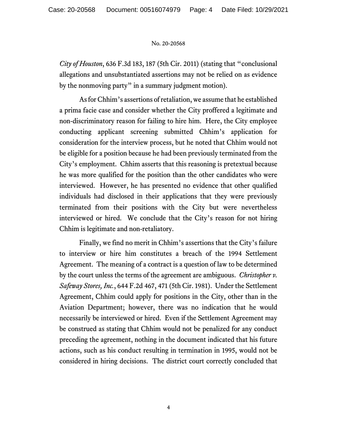*City of Houston*, 636 F.3d 183, 187 (5th Cir. 2011) (stating that "conclusional allegations and unsubstantiated assertions may not be relied on as evidence by the nonmoving party" in a summary judgment motion).

As for Chhim's assertions of retaliation, we assume that he established a prima facie case and consider whether the City proffered a legitimate and non-discriminatory reason for failing to hire him. Here, the City employee conducting applicant screening submitted Chhim's application for consideration for the interview process, but he noted that Chhim would not be eligible for a position because he had been previously terminated from the City's employment. Chhim asserts that this reasoning is pretextual because he was more qualified for the position than the other candidates who were interviewed. However, he has presented no evidence that other qualified individuals had disclosed in their applications that they were previously terminated from their positions with the City but were nevertheless interviewed or hired. We conclude that the City's reason for not hiring Chhim is legitimate and non-retaliatory.

Finally, we find no merit in Chhim's assertions that the City's failure to interview or hire him constitutes a breach of the 1994 Settlement Agreement. The meaning of a contract is a question of law to be determined by the court unless the terms of the agreement are ambiguous. *Christopher v. Safeway Stores, Inc.*, 644 F.2d 467, 471 (5th Cir. 1981). Under the Settlement Agreement, Chhim could apply for positions in the City, other than in the Aviation Department; however, there was no indication that he would necessarily be interviewed or hired. Even if the Settlement Agreement may be construed as stating that Chhim would not be penalized for any conduct preceding the agreement, nothing in the document indicated that his future actions, such as his conduct resulting in termination in 1995, would not be considered in hiring decisions. The district court correctly concluded that